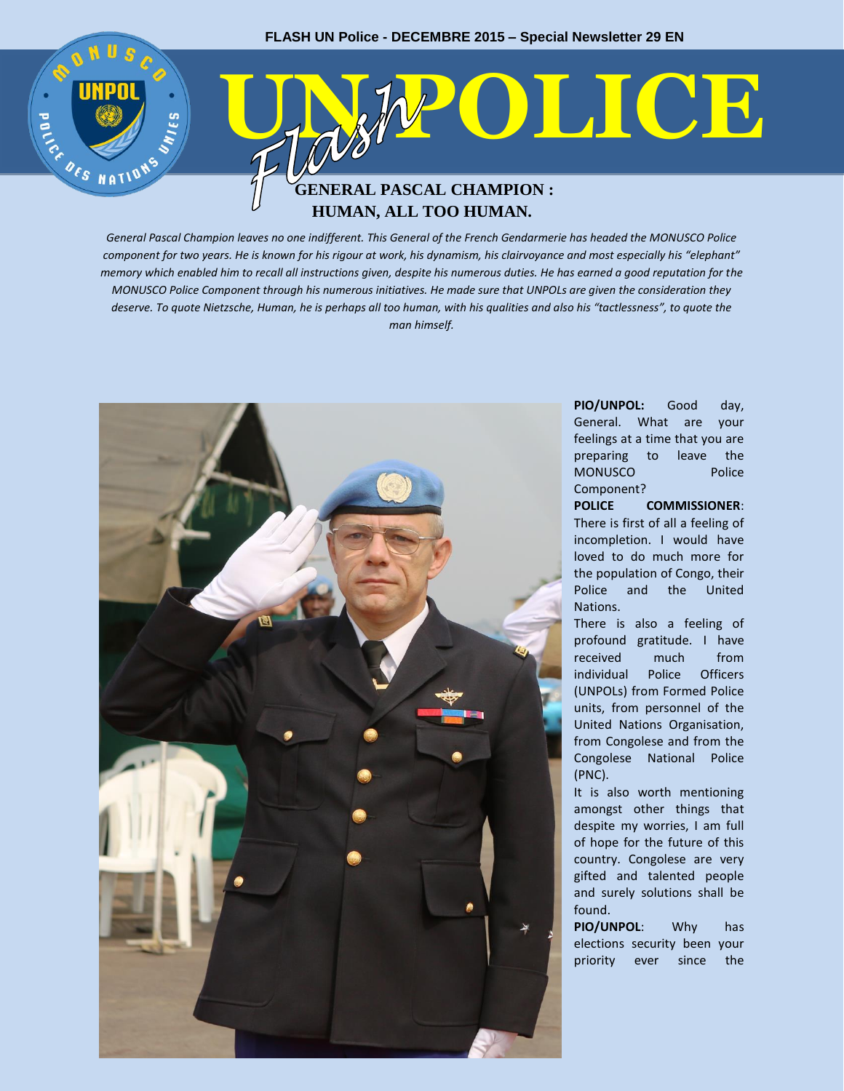

# **HUMAN, ALL TOO HUMAN.**

*General Pascal Champion leaves no one indifferent. This General of the French Gendarmerie has headed the MONUSCO Police component for two years. He is known for his rigour at work, his dynamism, his clairvoyance and most especially his "elephant" memory which enabled him to recall all instructions given, despite his numerous duties. He has earned a good reputation for the MONUSCO Police Component through his numerous initiatives. He made sure that UNPOLs are given the consideration they deserve. To quote Nietzsche, Human, he is perhaps all too human, with his qualities and also his "tactlessness", to quote the man himself.*



**PIO/UNPOL:** Good day, General. What are your feelings at a time that you are preparing to leave the MONUSCO Police Component?

**POLICE COMMISSIONER**: There is first of all a feeling of incompletion. I would have loved to do much more for the population of Congo, their Police and the United Nations.

There is also a feeling of profound gratitude. I have received much from individual Police Officers (UNPOLs) from Formed Police units, from personnel of the United Nations Organisation, from Congolese and from the Congolese National Police (PNC).

It is also worth mentioning amongst other things that despite my worries, I am full of hope for the future of this country. Congolese are very gifted and talented people and surely solutions shall be found.

**PIO/UNPOL**: Why has elections security been your priority ever since the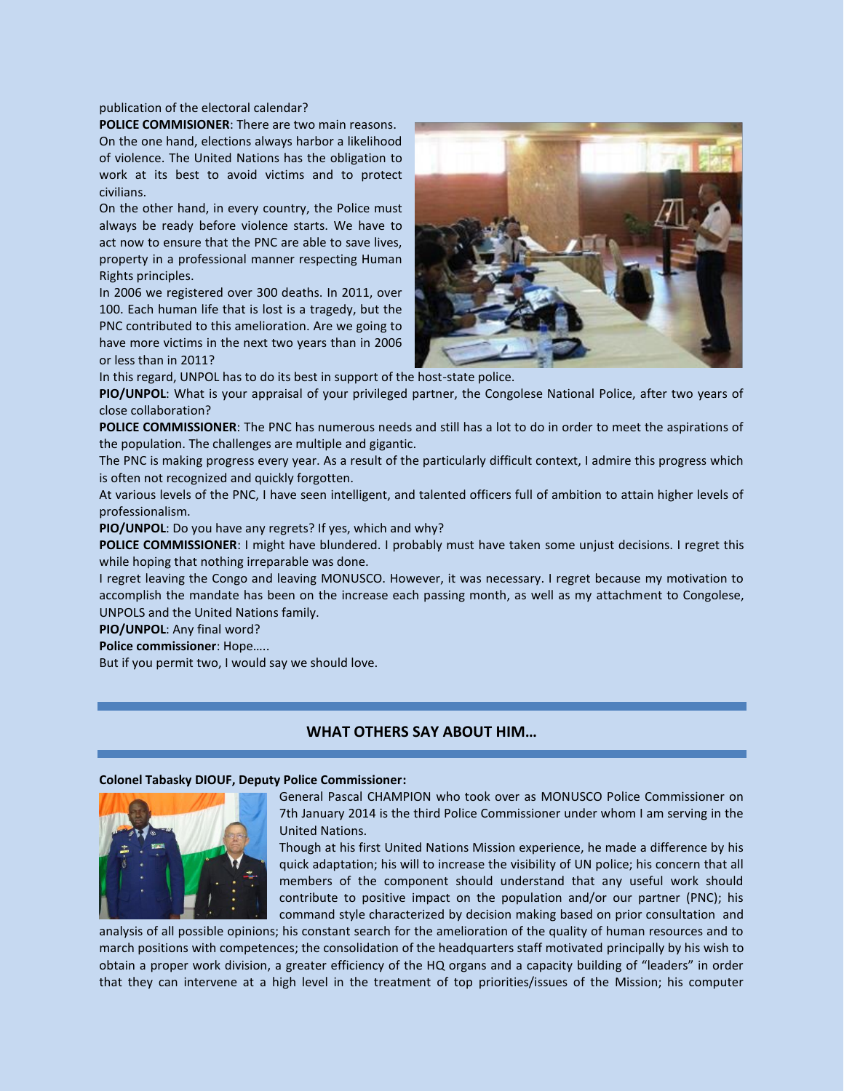publication of the electoral calendar?

**POLICE COMMISIONER**: There are two main reasons. On the one hand, elections always harbor a likelihood of violence. The United Nations has the obligation to work at its best to avoid victims and to protect civilians.

On the other hand, in every country, the Police must always be ready before violence starts. We have to act now to ensure that the PNC are able to save lives, property in a professional manner respecting Human Rights principles.

In 2006 we registered over 300 deaths. In 2011, over 100. Each human life that is lost is a tragedy, but the PNC contributed to this amelioration. Are we going to have more victims in the next two years than in 2006 or less than in 2011?



In this regard, UNPOL has to do its best in support of the host-state police.

**PIO/UNPOL**: What is your appraisal of your privileged partner, the Congolese National Police, after two years of close collaboration?

**POLICE COMMISSIONER**: The PNC has numerous needs and still has a lot to do in order to meet the aspirations of the population. The challenges are multiple and gigantic.

The PNC is making progress every year. As a result of the particularly difficult context, I admire this progress which is often not recognized and quickly forgotten.

At various levels of the PNC, I have seen intelligent, and talented officers full of ambition to attain higher levels of professionalism.

**PIO/UNPOL**: Do you have any regrets? If yes, which and why?

**POLICE COMMISSIONER**: I might have blundered. I probably must have taken some unjust decisions. I regret this while hoping that nothing irreparable was done.

I regret leaving the Congo and leaving MONUSCO. However, it was necessary. I regret because my motivation to accomplish the mandate has been on the increase each passing month, as well as my attachment to Congolese, UNPOLS and the United Nations family.

**PIO/UNPOL**: Any final word?

**Police commissioner**: Hope…..

But if you permit two, I would say we should love.

# **WHAT OTHERS SAY ABOUT HIM…**

# **Colonel Tabasky DIOUF, Deputy Police Commissioner:**



General Pascal CHAMPION who took over as MONUSCO Police Commissioner on 7th January 2014 is the third Police Commissioner under whom I am serving in the United Nations.

Though at his first United Nations Mission experience, he made a difference by his quick adaptation; his will to increase the visibility of UN police; his concern that all members of the component should understand that any useful work should contribute to positive impact on the population and/or our partner (PNC); his command style characterized by decision making based on prior consultation and

analysis of all possible opinions; his constant search for the amelioration of the quality of human resources and to march positions with competences; the consolidation of the headquarters staff motivated principally by his wish to obtain a proper work division, a greater efficiency of the HQ organs and a capacity building of "leaders" in order that they can intervene at a high level in the treatment of top priorities/issues of the Mission; his computer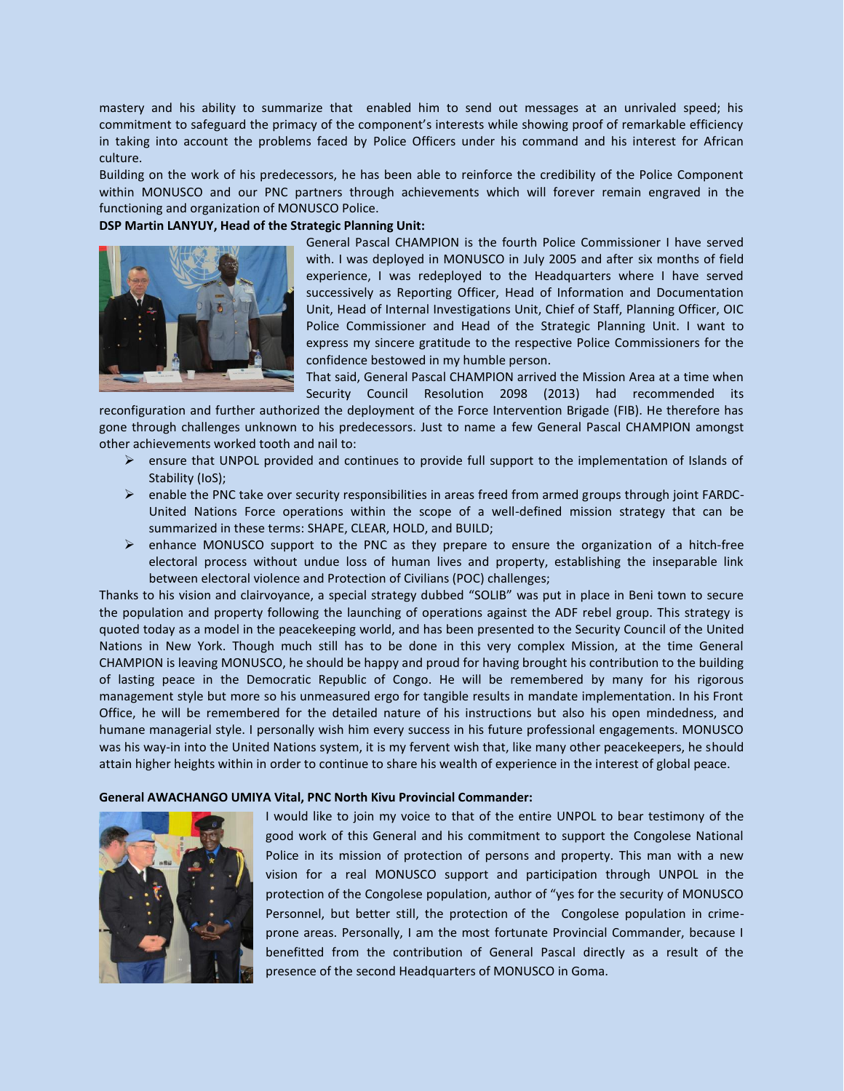mastery and his ability to summarize that enabled him to send out messages at an unrivaled speed; his commitment to safeguard the primacy of the component's interests while showing proof of remarkable efficiency in taking into account the problems faced by Police Officers under his command and his interest for African culture.

Building on the work of his predecessors, he has been able to reinforce the credibility of the Police Component within MONUSCO and our PNC partners through achievements which will forever remain engraved in the functioning and organization of MONUSCO Police.

### **DSP Martin LANYUY, Head of the Strategic Planning Unit:**



General Pascal CHAMPION is the fourth Police Commissioner I have served with. I was deployed in MONUSCO in July 2005 and after six months of field experience, I was redeployed to the Headquarters where I have served successively as Reporting Officer, Head of Information and Documentation Unit, Head of Internal Investigations Unit, Chief of Staff, Planning Officer, OIC Police Commissioner and Head of the Strategic Planning Unit. I want to express my sincere gratitude to the respective Police Commissioners for the confidence bestowed in my humble person.

That said, General Pascal CHAMPION arrived the Mission Area at a time when Security Council Resolution 2098 (2013) had recommended its

reconfiguration and further authorized the deployment of the Force Intervention Brigade (FIB). He therefore has gone through challenges unknown to his predecessors. Just to name a few General Pascal CHAMPION amongst other achievements worked tooth and nail to:

- $\triangleright$  ensure that UNPOL provided and continues to provide full support to the implementation of Islands of Stability (IoS);
- $\triangleright$  enable the PNC take over security responsibilities in areas freed from armed groups through joint FARDC-United Nations Force operations within the scope of a well-defined mission strategy that can be summarized in these terms: SHAPE, CLEAR, HOLD, and BUILD;
- enhance MONUSCO support to the PNC as they prepare to ensure the organization of a hitch-free electoral process without undue loss of human lives and property, establishing the inseparable link between electoral violence and Protection of Civilians (POC) challenges;

Thanks to his vision and clairvoyance, a special strategy dubbed "SOLIB" was put in place in Beni town to secure the population and property following the launching of operations against the ADF rebel group. This strategy is quoted today as a model in the peacekeeping world, and has been presented to the Security Council of the United Nations in New York. Though much still has to be done in this very complex Mission, at the time General CHAMPION is leaving MONUSCO, he should be happy and proud for having brought his contribution to the building of lasting peace in the Democratic Republic of Congo. He will be remembered by many for his rigorous management style but more so his unmeasured ergo for tangible results in mandate implementation. In his Front Office, he will be remembered for the detailed nature of his instructions but also his open mindedness, and humane managerial style. I personally wish him every success in his future professional engagements. MONUSCO was his way-in into the United Nations system, it is my fervent wish that, like many other peacekeepers, he should attain higher heights within in order to continue to share his wealth of experience in the interest of global peace.

#### **General AWACHANGO UMIYA Vital, PNC North Kivu Provincial Commander:**



I would like to join my voice to that of the entire UNPOL to bear testimony of the good work of this General and his commitment to support the Congolese National Police in its mission of protection of persons and property. This man with a new vision for a real MONUSCO support and participation through UNPOL in the protection of the Congolese population, author of "yes for the security of MONUSCO Personnel, but better still, the protection of the Congolese population in crimeprone areas. Personally, I am the most fortunate Provincial Commander, because I benefitted from the contribution of General Pascal directly as a result of the presence of the second Headquarters of MONUSCO in Goma.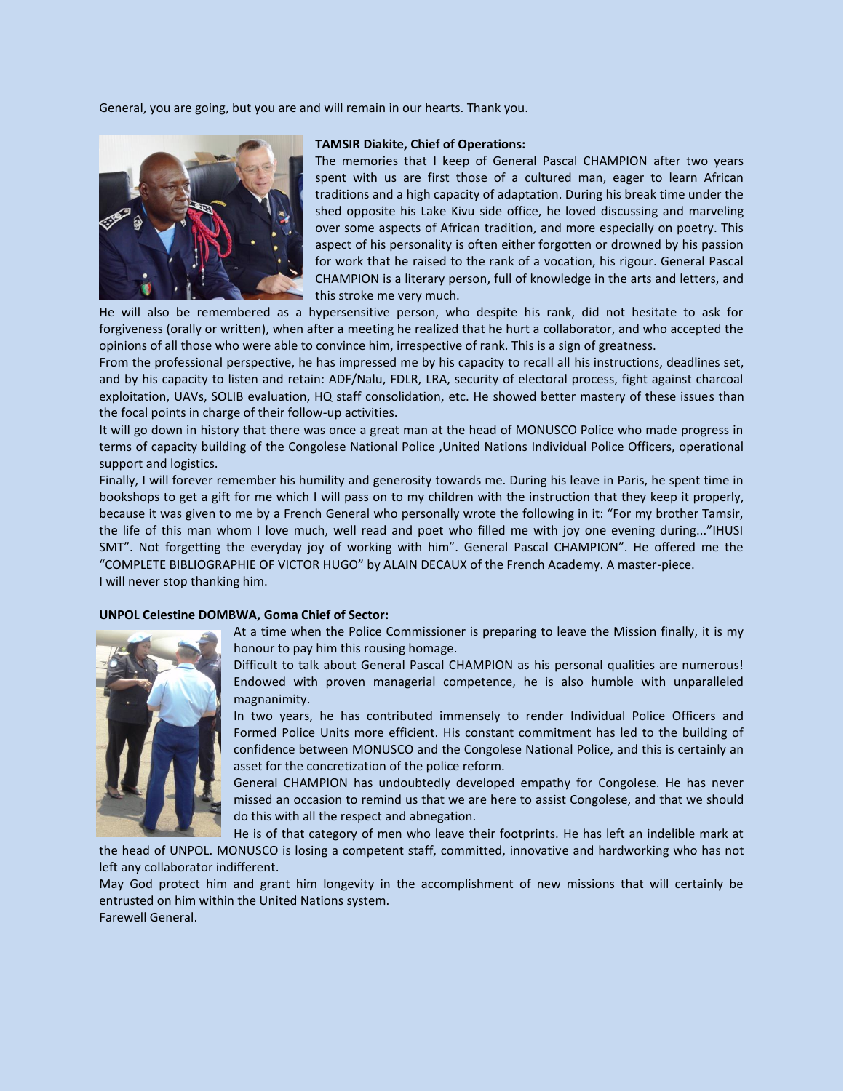General, you are going, but you are and will remain in our hearts. Thank you.



#### **TAMSIR Diakite, Chief of Operations:**

The memories that I keep of General Pascal CHAMPION after two years spent with us are first those of a cultured man, eager to learn African traditions and a high capacity of adaptation. During his break time under the shed opposite his Lake Kivu side office, he loved discussing and marveling over some aspects of African tradition, and more especially on poetry. This aspect of his personality is often either forgotten or drowned by his passion for work that he raised to the rank of a vocation, his rigour. General Pascal CHAMPION is a literary person, full of knowledge in the arts and letters, and this stroke me very much.

He will also be remembered as a hypersensitive person, who despite his rank, did not hesitate to ask for forgiveness (orally or written), when after a meeting he realized that he hurt a collaborator, and who accepted the opinions of all those who were able to convince him, irrespective of rank. This is a sign of greatness.

From the professional perspective, he has impressed me by his capacity to recall all his instructions, deadlines set, and by his capacity to listen and retain: ADF/Nalu, FDLR, LRA, security of electoral process, fight against charcoal exploitation, UAVs, SOLIB evaluation, HQ staff consolidation, etc. He showed better mastery of these issues than the focal points in charge of their follow-up activities.

It will go down in history that there was once a great man at the head of MONUSCO Police who made progress in terms of capacity building of the Congolese National Police ,United Nations Individual Police Officers, operational support and logistics.

Finally, I will forever remember his humility and generosity towards me. During his leave in Paris, he spent time in bookshops to get a gift for me which I will pass on to my children with the instruction that they keep it properly, because it was given to me by a French General who personally wrote the following in it: "For my brother Tamsir, the life of this man whom I love much, well read and poet who filled me with joy one evening during..."IHUSI SMT". Not forgetting the everyday joy of working with him". General Pascal CHAMPION". He offered me the "COMPLETE BIBLIOGRAPHIE OF VICTOR HUGO" by ALAIN DECAUX of the French Academy. A master-piece. I will never stop thanking him.

#### **UNPOL Celestine DOMBWA, Goma Chief of Sector:**

At a time when the Police Commissioner is preparing to leave the Mission finally, it is my honour to pay him this rousing homage.

Difficult to talk about General Pascal CHAMPION as his personal qualities are numerous! Endowed with proven managerial competence, he is also humble with unparalleled magnanimity.

In two years, he has contributed immensely to render Individual Police Officers and Formed Police Units more efficient. His constant commitment has led to the building of confidence between MONUSCO and the Congolese National Police, and this is certainly an asset for the concretization of the police reform.

General CHAMPION has undoubtedly developed empathy for Congolese. He has never missed an occasion to remind us that we are here to assist Congolese, and that we should do this with all the respect and abnegation.

He is of that category of men who leave their footprints. He has left an indelible mark at the head of UNPOL. MONUSCO is losing a competent staff, committed, innovative and hardworking who has not

left any collaborator indifferent.

May God protect him and grant him longevity in the accomplishment of new missions that will certainly be entrusted on him within the United Nations system. Farewell General.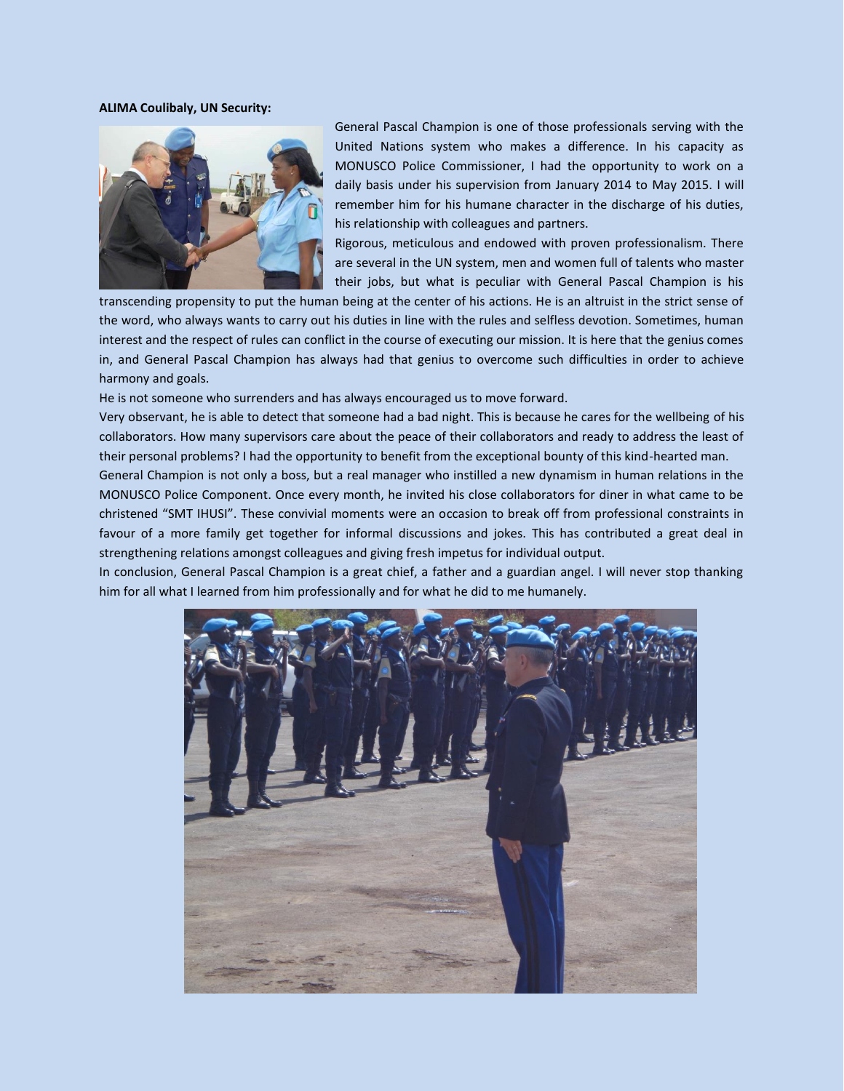#### **ALIMA Coulibaly, UN Security:**



General Pascal Champion is one of those professionals serving with the United Nations system who makes a difference. In his capacity as MONUSCO Police Commissioner, I had the opportunity to work on a daily basis under his supervision from January 2014 to May 2015. I will remember him for his humane character in the discharge of his duties, his relationship with colleagues and partners.

Rigorous, meticulous and endowed with proven professionalism. There are several in the UN system, men and women full of talents who master their jobs, but what is peculiar with General Pascal Champion is his

transcending propensity to put the human being at the center of his actions. He is an altruist in the strict sense of the word, who always wants to carry out his duties in line with the rules and selfless devotion. Sometimes, human interest and the respect of rules can conflict in the course of executing our mission. It is here that the genius comes in, and General Pascal Champion has always had that genius to overcome such difficulties in order to achieve harmony and goals.

He is not someone who surrenders and has always encouraged us to move forward.

Very observant, he is able to detect that someone had a bad night. This is because he cares for the wellbeing of his collaborators. How many supervisors care about the peace of their collaborators and ready to address the least of their personal problems? I had the opportunity to benefit from the exceptional bounty of this kind-hearted man.

General Champion is not only a boss, but a real manager who instilled a new dynamism in human relations in the MONUSCO Police Component. Once every month, he invited his close collaborators for diner in what came to be christened "SMT IHUSI". These convivial moments were an occasion to break off from professional constraints in favour of a more family get together for informal discussions and jokes. This has contributed a great deal in strengthening relations amongst colleagues and giving fresh impetus for individual output.

In conclusion, General Pascal Champion is a great chief, a father and a guardian angel. I will never stop thanking him for all what I learned from him professionally and for what he did to me humanely.